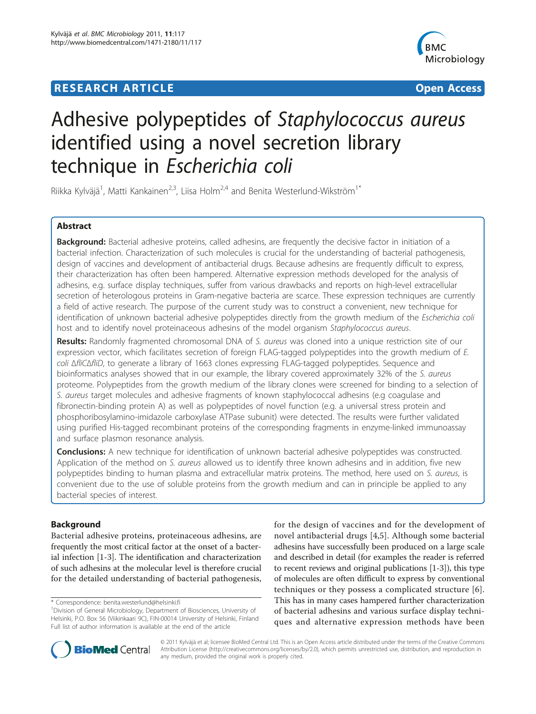## **RESEARCH ARTICLE External Structure Control Control Control Control Control Control Control Control Control Control Control Control Control Control Control Control Control Control Control Control Control Control Control**



# Adhesive polypeptides of Staphylococcus aureus identified using a novel secretion library technique in Escherichia coli

Riikka Kylväjä<sup>1</sup>, Matti Kankainen<sup>2,3</sup>, Liisa Holm<sup>2,4</sup> and Benita Westerlund-Wikström<sup>1\*</sup>

## Abstract

**Background:** Bacterial adhesive proteins, called adhesins, are frequently the decisive factor in initiation of a bacterial infection. Characterization of such molecules is crucial for the understanding of bacterial pathogenesis, design of vaccines and development of antibacterial drugs. Because adhesins are frequently difficult to express, their characterization has often been hampered. Alternative expression methods developed for the analysis of adhesins, e.g. surface display techniques, suffer from various drawbacks and reports on high-level extracellular secretion of heterologous proteins in Gram-negative bacteria are scarce. These expression techniques are currently a field of active research. The purpose of the current study was to construct a convenient, new technique for identification of unknown bacterial adhesive polypeptides directly from the growth medium of the Escherichia coli host and to identify novel proteinaceous adhesins of the model organism Staphylococcus aureus.

Results: Randomly fragmented chromosomal DNA of S. aureus was cloned into a unique restriction site of our expression vector, which facilitates secretion of foreign FLAG-tagged polypeptides into the growth medium of E. coli ΔfliCΔfliD, to generate a library of 1663 clones expressing FLAG-tagged polypeptides. Sequence and bioinformatics analyses showed that in our example, the library covered approximately 32% of the S. aureus proteome. Polypeptides from the growth medium of the library clones were screened for binding to a selection of S. aureus target molecules and adhesive fragments of known staphylococcal adhesins (e.g coagulase and fibronectin-binding protein A) as well as polypeptides of novel function (e.g. a universal stress protein and phosphoribosylamino-imidazole carboxylase ATPase subunit) were detected. The results were further validated using purified His-tagged recombinant proteins of the corresponding fragments in enzyme-linked immunoassay and surface plasmon resonance analysis.

**Conclusions:** A new technique for identification of unknown bacterial adhesive polypeptides was constructed. Application of the method on S. aureus allowed us to identify three known adhesins and in addition, five new polypeptides binding to human plasma and extracellular matrix proteins. The method, here used on S. aureus, is convenient due to the use of soluble proteins from the growth medium and can in principle be applied to any bacterial species of interest.

## Background

Bacterial adhesive proteins, proteinaceous adhesins, are frequently the most critical factor at the onset of a bacterial infection [[1-3](#page-11-0)]. The identification and characterization of such adhesins at the molecular level is therefore crucial for the detailed understanding of bacterial pathogenesis,

for the design of vaccines and for the development of novel antibacterial drugs [[4,5](#page-11-0)]. Although some bacterial adhesins have successfully been produced on a large scale and described in detail (for examples the reader is referred to recent reviews and original publications [\[1](#page-11-0)-[3](#page-11-0)]), this type of molecules are often difficult to express by conventional techniques or they possess a complicated structure [[6](#page-11-0)]. This has in many cases hampered further characterization of bacterial adhesins and various surface display techniques and alternative expression methods have been



© 2011 Kylväjä et al; licensee BioMed Central Ltd. This is an Open Access article distributed under the terms of the Creative Commons Attribution License [\(http://creativecommons.org/licenses/by/2.0](http://creativecommons.org/licenses/by/2.0)), which permits unrestricted use, distribution, and reproduction in any medium, provided the original work is properly cited.

<sup>\*</sup> Correspondence: [benita.westerlund@helsinki.fi](mailto:benita.westerlund@helsinki.fi)

<sup>&</sup>lt;sup>1</sup> Division of General Microbiology, Department of Biosciences, University of Helsinki, P.O. Box 56 (Viikinkaari 9C), FIN-00014 University of Helsinki, Finland Full list of author information is available at the end of the article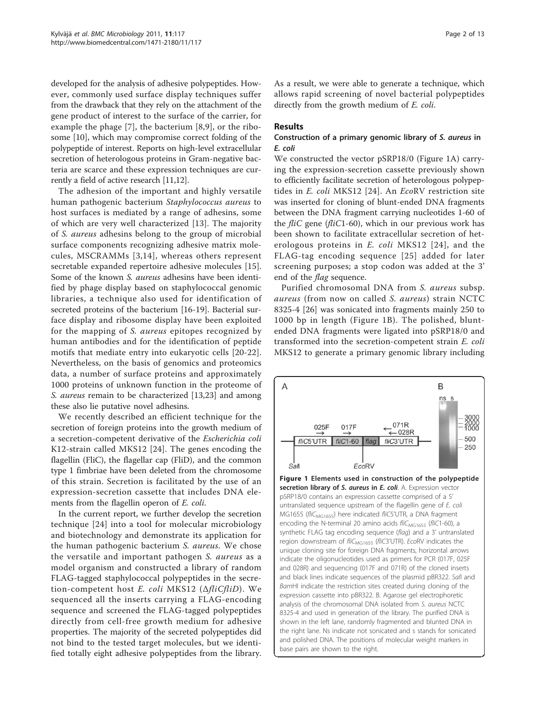<span id="page-1-0"></span>developed for the analysis of adhesive polypeptides. However, commonly used surface display techniques suffer from the drawback that they rely on the attachment of the gene product of interest to the surface of the carrier, for example the phage [[7\]](#page-11-0), the bacterium [[8,9\]](#page-11-0), or the ribosome [\[10](#page-11-0)], which may compromise correct folding of the polypeptide of interest. Reports on high-level extracellular secretion of heterologous proteins in Gram-negative bacteria are scarce and these expression techniques are currently a field of active research [[11,12](#page-11-0)].

The adhesion of the important and highly versatile human pathogenic bacterium Staphylococcus aureus to host surfaces is mediated by a range of adhesins, some of which are very well characterized [[13\]](#page-11-0). The majority of S. aureus adhesins belong to the group of microbial surface components recognizing adhesive matrix molecules, MSCRAMMs [[3](#page-11-0),[14](#page-11-0)], whereas others represent secretable expanded repertoire adhesive molecules [\[15](#page-11-0)]. Some of the known S. aureus adhesins have been identified by phage display based on staphylococcal genomic libraries, a technique also used for identification of secreted proteins of the bacterium [\[16](#page-11-0)-[19](#page-11-0)]. Bacterial surface display and ribosome display have been exploited for the mapping of S. aureus epitopes recognized by human antibodies and for the identification of peptide motifs that mediate entry into eukaryotic cells [\[20](#page-11-0)-[22](#page-11-0)]. Nevertheless, on the basis of genomics and proteomics data, a number of surface proteins and approximately 1000 proteins of unknown function in the proteome of S. aureus remain to be characterized [[13,23\]](#page-11-0) and among these also lie putative novel adhesins.

We recently described an efficient technique for the secretion of foreign proteins into the growth medium of a secretion-competent derivative of the Escherichia coli K12-strain called MKS12 [[24\]](#page-11-0). The genes encoding the flagellin (FliC), the flagellar cap (FliD), and the common type 1 fimbriae have been deleted from the chromosome of this strain. Secretion is facilitated by the use of an expression-secretion cassette that includes DNA elements from the flagellin operon of E. coli.

In the current report, we further develop the secretion technique [[24](#page-11-0)] into a tool for molecular microbiology and biotechnology and demonstrate its application for the human pathogenic bacterium S. aureus. We chose the versatile and important pathogen S. aureus as a model organism and constructed a library of random FLAG-tagged staphylococcal polypeptides in the secretion-competent host E. coli MKS12 (ΔfliCfliD). We sequenced all the inserts carrying a FLAG-encoding sequence and screened the FLAG-tagged polypeptides directly from cell-free growth medium for adhesive properties. The majority of the secreted polypeptides did not bind to the tested target molecules, but we identified totally eight adhesive polypeptides from the library. As a result, we were able to generate a technique, which allows rapid screening of novel bacterial polypeptides directly from the growth medium of E. coli.

#### Results

#### Construction of a primary genomic library of S. aureus in E. coli

We constructed the vector pSRP18/0 (Figure 1A) carrying the expression-secretion cassette previously shown to efficiently facilitate secretion of heterologous polypeptides in E. coli MKS12 [[24](#page-11-0)]. An EcoRV restriction site was inserted for cloning of blunt-ended DNA fragments between the DNA fragment carrying nucleotides 1-60 of the *fliC* gene (*fliC*1-60), which in our previous work has been shown to facilitate extracellular secretion of heterologous proteins in E. coli MKS12 [[24](#page-11-0)], and the FLAG-tag encoding sequence [[25](#page-11-0)] added for later screening purposes; a stop codon was added at the 3' end of the flag sequence.

Purified chromosomal DNA from S. aureus subsp. aureus (from now on called S. aureus) strain NCTC 8325-4 [[26\]](#page-11-0) was sonicated into fragments mainly 250 to 1000 bp in length (Figure 1B). The polished, bluntended DNA fragments were ligated into pSRP18/0 and transformed into the secretion-competent strain E. coli MKS12 to generate a primary genomic library including

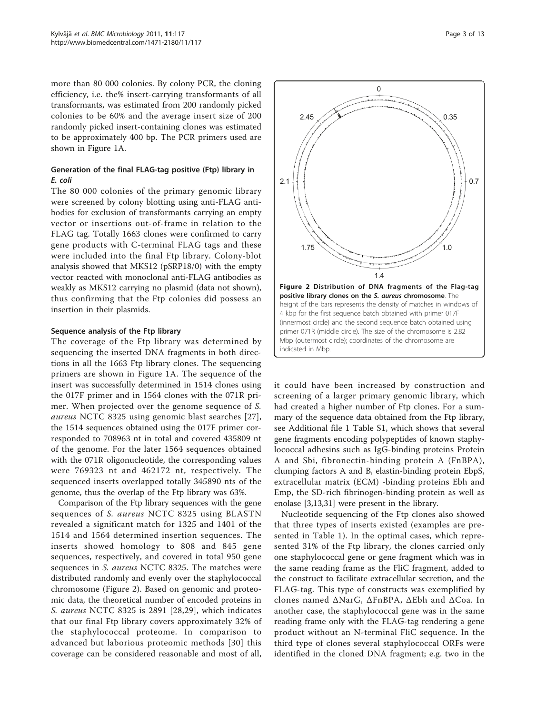more than 80 000 colonies. By colony PCR, the cloning efficiency, i.e. the% insert-carrying transformants of all transformants, was estimated from 200 randomly picked colonies to be 60% and the average insert size of 200 randomly picked insert-containing clones was estimated to be approximately 400 bp. The PCR primers used are shown in Figure [1A](#page-1-0).

## Generation of the final FLAG-tag positive (Ftp) library in E. coli

The 80 000 colonies of the primary genomic library were screened by colony blotting using anti-FLAG antibodies for exclusion of transformants carrying an empty vector or insertions out-of-frame in relation to the FLAG tag. Totally 1663 clones were confirmed to carry gene products with C-terminal FLAG tags and these were included into the final Ftp library. Colony-blot analysis showed that MKS12 (pSRP18/0) with the empty vector reacted with monoclonal anti-FLAG antibodies as weakly as MKS12 carrying no plasmid (data not shown), thus confirming that the Ftp colonies did possess an insertion in their plasmids.

#### Sequence analysis of the Ftp library

The coverage of the Ftp library was determined by sequencing the inserted DNA fragments in both directions in all the 1663 Ftp library clones. The sequencing primers are shown in Figure [1A](#page-1-0). The sequence of the insert was successfully determined in 1514 clones using the 017F primer and in 1564 clones with the 071R primer. When projected over the genome sequence of S. aureus NCTC 8325 using genomic blast searches [[27](#page-11-0)], the 1514 sequences obtained using the 017F primer corresponded to 708963 nt in total and covered 435809 nt of the genome. For the later 1564 sequences obtained with the 071R oligonucleotide, the corresponding values were 769323 nt and 462172 nt, respectively. The sequenced inserts overlapped totally 345890 nts of the genome, thus the overlap of the Ftp library was 63%.

Comparison of the Ftp library sequences with the gene sequences of S. aureus NCTC 8325 using BLASTN revealed a significant match for 1325 and 1401 of the 1514 and 1564 determined insertion sequences. The inserts showed homology to 808 and 845 gene sequences, respectively, and covered in total 950 gene sequences in S. aureus NCTC 8325. The matches were distributed randomly and evenly over the staphylococcal chromosome (Figure 2). Based on genomic and proteomic data, the theoretical number of encoded proteins in S. aureus NCTC 8325 is 2891 [\[28,29](#page-11-0)], which indicates that our final Ftp library covers approximately 32% of the staphylococcal proteome. In comparison to advanced but laborious proteomic methods [[30\]](#page-11-0) this coverage can be considered reasonable and most of all,



it could have been increased by construction and screening of a larger primary genomic library, which had created a higher number of Ftp clones. For a summary of the sequence data obtained from the Ftp library, see Additional file [1](#page-10-0) Table S1, which shows that several gene fragments encoding polypeptides of known staphylococcal adhesins such as IgG-binding proteins Protein A and Sbi, fibronectin-binding protein A (FnBPA), clumping factors A and B, elastin-binding protein EbpS, extracellular matrix (ECM) -binding proteins Ebh and Emp, the SD-rich fibrinogen-binding protein as well as enolase [\[3,13,31\]](#page-11-0) were present in the library.

Nucleotide sequencing of the Ftp clones also showed that three types of inserts existed (examples are presented in Table [1\)](#page-3-0). In the optimal cases, which represented 31% of the Ftp library, the clones carried only one staphylococcal gene or gene fragment which was in the same reading frame as the FliC fragment, added to the construct to facilitate extracellular secretion, and the FLAG-tag. This type of constructs was exemplified by clones named ΔNarG, ΔFnBPA, ΔEbh and ΔCoa. In another case, the staphylococcal gene was in the same reading frame only with the FLAG-tag rendering a gene product without an N-terminal FliC sequence. In the third type of clones several staphylococcal ORFs were identified in the cloned DNA fragment; e.g. two in the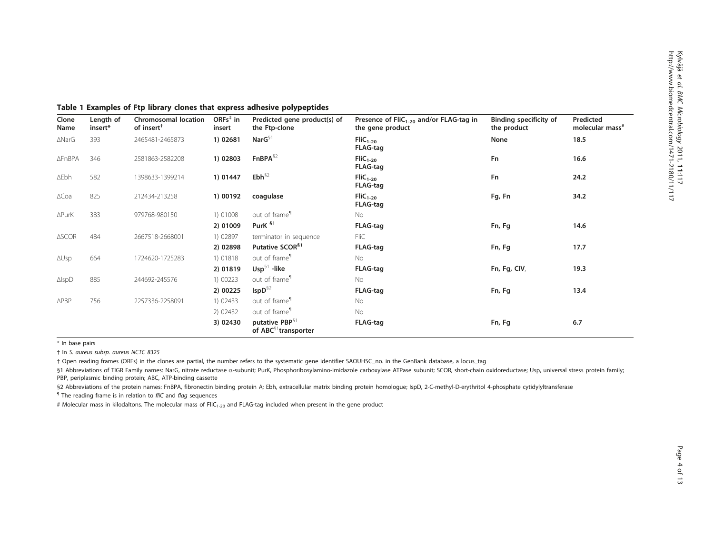| Clone<br>Name    | Length of<br>insert* | <b>Chromosomal location</b><br>of insert <sup>†</sup> | $ORFs‡$ in<br>insert | Predicted gene product(s) of<br>the Ftp-clone                  | Presence of $FliC_{1-20}$ and/or $FLAG$ -tag in<br>the gene product | Binding specificity of<br>the product | Predicted<br>molecular mass <sup>*</sup> |
|------------------|----------------------|-------------------------------------------------------|----------------------|----------------------------------------------------------------|---------------------------------------------------------------------|---------------------------------------|------------------------------------------|
| $\triangle$ NarG | 393                  | 2465481-2465873                                       | 1) 02681             | NarG <sup>§1</sup>                                             | $FliC1-20$<br><b>FLAG-tag</b>                                       | None                                  | 18.5                                     |
| ∆FnBPA           | 346                  | 2581863-2582208                                       | 1) 02803             | FnBPA <sup>§2</sup>                                            | $FliC1-20$<br><b>FLAG-tag</b>                                       | Fn                                    | 16.6                                     |
| ∆Ebh             | 582                  | 1398633-1399214                                       | 1) 01447             | Ebh <sup>§2</sup>                                              | $FliC1-20$<br><b>FLAG-tag</b>                                       | Fn                                    | 24.2                                     |
| $\triangle Coa$  | 825                  | 212434-213258                                         | 1) 00192             | coagulase                                                      | $FliC1-20$<br><b>FLAG-tag</b>                                       | Fg, Fn                                | 34.2                                     |
| ∆PurK            | 383                  | 979768-980150                                         | 1) 01008             | out of frame <sup>1</sup>                                      | No                                                                  |                                       |                                          |
|                  |                      |                                                       | 2) 01009             | PurK <sup>§1</sup>                                             | <b>FLAG-tag</b>                                                     | Fn, Fg                                | 14.6                                     |
| <b>ASCOR</b>     | 484                  | 2667518-2668001                                       | 1) 02897             | terminator in sequence                                         | FliC                                                                |                                       |                                          |
|                  |                      |                                                       | 2) 02898             | Putative SCOR <sup>§1</sup>                                    | <b>FLAG-tag</b>                                                     | Fn, Fg                                | 17.7                                     |
| $\triangle$ Usp  | 664                  | 1724620-1725283                                       | 1) 01818             | out of frame <sup>1</sup>                                      | No                                                                  |                                       |                                          |
|                  |                      |                                                       | 2) 01819             | $\mathsf{Usp}^{\S1}$ -like                                     | <b>FLAG-tag</b>                                                     | Fn, Fg, CIV,                          | 19.3                                     |
| $\triangle$ lspD | 885                  | 244692-245576                                         | 1) 00223             | out of frame <sup>1</sup>                                      | No                                                                  |                                       |                                          |
|                  |                      |                                                       | 2) 00225             | $IspD^{52}$                                                    | <b>FLAG-tag</b>                                                     | Fn, Fg                                | 13.4                                     |
| $\triangle PBP$  | 756                  | 2257336-2258091                                       | 1) 02433             | out of frame <sup>1</sup>                                      | <b>No</b>                                                           |                                       |                                          |
|                  |                      |                                                       | 2) 02432             | out of frame <sup>1</sup>                                      | No                                                                  |                                       |                                          |
|                  |                      |                                                       | 3) 02430             | putative PBP <sup>§1</sup><br>of ABC <sup>§1</sup> transporter | <b>FLAG-tag</b>                                                     | Fn, Fg                                | 6.7                                      |

<span id="page-3-0"></span>Table 1 Examples of Ftp library clones that express adhesive polypeptides

\* In base pairs

† In S. aureus subsp. aureus NCTC 8325

‡ Open reading frames (ORFs) in the clones are partial, the number refers to the systematic gene identifier SAOUHSC\_no. in the GenBank database, a locus\_tag

§1 Abbreviations of TIGR Family names: NarG, nitrate reductase  $\alpha$ -subunit; PurK, Phosphoribosylamino-imidazole carboxylase ATPase subunit; SCOR, short-chain oxidoreductase; Usp, universal stress protein family; PBP, periplasmic binding protein; ABC, ATP-binding cassette

§2 Abbreviations of the protein names: FnBPA, fibronectin binding protein A; Ebh, extracellular matrix binding protein homologue; IspD, 2-C-methyl-D-erythritol 4-phosphate cytidylyltransferase

<sup>1</sup> The reading frame is in relation to fliC and flag sequences

# Molecular mass in kilodaltons. The molecular mass of FliC<sub>1-20</sub> and FLAG-tag included when present in the gene product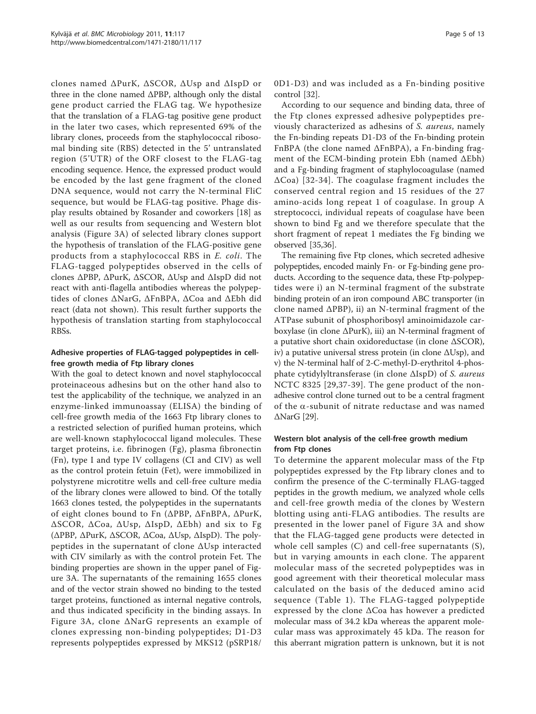clones named ΔPurK, ΔSCOR, ΔUsp and ΔIspD or three in the clone named ΔPBP, although only the distal gene product carried the FLAG tag. We hypothesize that the translation of a FLAG-tag positive gene product in the later two cases, which represented 69% of the library clones, proceeds from the staphylococcal ribosomal binding site (RBS) detected in the 5' untranslated region (5'UTR) of the ORF closest to the FLAG-tag encoding sequence. Hence, the expressed product would be encoded by the last gene fragment of the cloned DNA sequence, would not carry the N-terminal FliC sequence, but would be FLAG-tag positive. Phage display results obtained by Rosander and coworkers [\[18\]](#page-11-0) as well as our results from sequencing and Western blot analysis (Figure [3A](#page-5-0)) of selected library clones support the hypothesis of translation of the FLAG-positive gene products from a staphylococcal RBS in E. coli. The FLAG-tagged polypeptides observed in the cells of clones ΔPBP, ΔPurK, ΔSCOR, ΔUsp and ΔIspD did not react with anti-flagella antibodies whereas the polypeptides of clones ΔNarG, ΔFnBPA, ΔCoa and ΔEbh did react (data not shown). This result further supports the hypothesis of translation starting from staphylococcal RBSs.

## Adhesive properties of FLAG-tagged polypeptides in cellfree growth media of Ftp library clones

With the goal to detect known and novel staphylococcal proteinaceous adhesins but on the other hand also to test the applicability of the technique, we analyzed in an enzyme-linked immunoassay (ELISA) the binding of cell-free growth media of the 1663 Ftp library clones to a restricted selection of purified human proteins, which are well-known staphylococcal ligand molecules. These target proteins, i.e. fibrinogen (Fg), plasma fibronectin (Fn), type I and type IV collagens (CI and CIV) as well as the control protein fetuin (Fet), were immobilized in polystyrene microtitre wells and cell-free culture media of the library clones were allowed to bind. Of the totally 1663 clones tested, the polypeptides in the supernatants of eight clones bound to Fn (ΔPBP, ΔFnBPA, ΔPurK, ΔSCOR, ΔCoa, ΔUsp, ΔIspD, ΔEbh) and six to Fg (ΔPBP, ΔPurK, ΔSCOR, ΔCoa, ΔUsp, ΔIspD). The polypeptides in the supernatant of clone ΔUsp interacted with CIV similarly as with the control protein Fet. The binding properties are shown in the upper panel of Figure [3A.](#page-5-0) The supernatants of the remaining 1655 clones and of the vector strain showed no binding to the tested target proteins, functioned as internal negative controls, and thus indicated specificity in the binding assays. In Figure [3A](#page-5-0), clone ΔNarG represents an example of clones expressing non-binding polypeptides; D1-D3 represents polypeptides expressed by MKS12 (pSRP18/ 0D1-D3) and was included as a Fn-binding positive control [\[32](#page-11-0)].

According to our sequence and binding data, three of the Ftp clones expressed adhesive polypeptides previously characterized as adhesins of S. aureus, namely the Fn-binding repeats D1-D3 of the Fn-binding protein FnBPA (the clone named ΔFnBPA), a Fn-binding fragment of the ECM-binding protein Ebh (named ΔEbh) and a Fg-binding fragment of staphylocoagulase (named ΔCoa) [[32](#page-11-0)-[34\]](#page-11-0). The coagulase fragment includes the conserved central region and 15 residues of the 27 amino-acids long repeat 1 of coagulase. In group A streptococci, individual repeats of coagulase have been shown to bind Fg and we therefore speculate that the short fragment of repeat 1 mediates the Fg binding we observed [\[35,36\]](#page-11-0).

The remaining five Ftp clones, which secreted adhesive polypeptides, encoded mainly Fn- or Fg-binding gene products. According to the sequence data, these Ftp-polypeptides were i) an N-terminal fragment of the substrate binding protein of an iron compound ABC transporter (in clone named ΔPBP), ii) an N-terminal fragment of the ATPase subunit of phosphoribosyl aminoimidazole carboxylase (in clone ΔPurK), iii) an N-terminal fragment of a putative short chain oxidoreductase (in clone ΔSCOR), iv) a putative universal stress protein (in clone ΔUsp), and v) the N-terminal half of 2-C-methyl-D-erythritol 4-phosphate cytidylyltransferase (in clone ΔIspD) of S. aureus NCTC 8325 [\[29,37-39\]](#page-11-0). The gene product of the nonadhesive control clone turned out to be a central fragment of the  $\alpha$ -subunit of nitrate reductase and was named ΔNarG [\[29\]](#page-11-0).

## Western blot analysis of the cell-free growth medium from Ftp clones

To determine the apparent molecular mass of the Ftp polypeptides expressed by the Ftp library clones and to confirm the presence of the C-terminally FLAG-tagged peptides in the growth medium, we analyzed whole cells and cell-free growth media of the clones by Western blotting using anti-FLAG antibodies. The results are presented in the lower panel of Figure [3A](#page-5-0) and show that the FLAG-tagged gene products were detected in whole cell samples (C) and cell-free supernatants (S), but in varying amounts in each clone. The apparent molecular mass of the secreted polypeptides was in good agreement with their theoretical molecular mass calculated on the basis of the deduced amino acid sequence (Table [1](#page-3-0)). The FLAG-tagged polypeptide expressed by the clone ΔCoa has however a predicted molecular mass of 34.2 kDa whereas the apparent molecular mass was approximately 45 kDa. The reason for this aberrant migration pattern is unknown, but it is not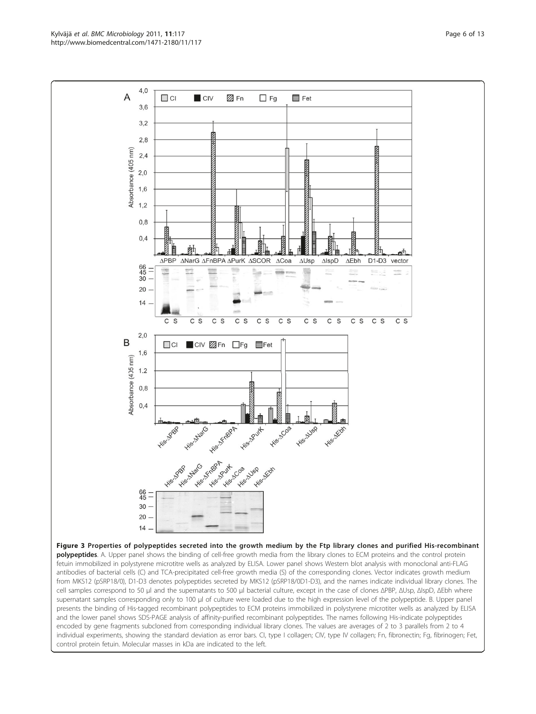Figure 3 Properties of polypeptides secreted into the growth medium by the Ftp library clones and purified His-recombinant polypeptides. A. Upper panel shows the binding of cell-free growth media from the library clones to ECM proteins and the control protein fetuin immobilized in polystyrene microtitre wells as analyzed by ELISA. Lower panel shows Western blot analysis with monoclonal anti-FLAG antibodies of bacterial cells (C) and TCA-precipitated cell-free growth media (S) of the corresponding clones. Vector indicates growth medium from MKS12 (pSRP18/0), D1-D3 denotes polypeptides secreted by MKS12 (pSRP18/0D1-D3), and the names indicate individual library clones. The cell samples correspond to 50 μl and the supernatants to 500 μl bacterial culture, except in the case of clones ΔPBP, ΔUsp, ΔIspD, ΔEbh where supernatant samples corresponding only to 100 μl of culture were loaded due to the high expression level of the polypeptide. B. Upper panel presents the binding of His-tagged recombinant polypeptides to ECM proteins immobilized in polystyrene microtiter wells as analyzed by ELISA and the lower panel shows SDS-PAGE analysis of affinity-purified recombinant polypeptides. The names following His-indicate polypeptides encoded by gene fragments subcloned from corresponding individual library clones. The values are averages of 2 to 3 parallels from 2 to 4 individual experiments, showing the standard deviation as error bars. CI, type I collagen; CIV, type IV collagen; Fn, fibronectin; Fq, fibrinogen; Fet, control protein fetuin. Molecular masses in kDa are indicated to the left.

<span id="page-5-0"></span> $\overline{A}$  $\Box$  CI  $\blacksquare$  CIV **⊠**Fn  $\Box$  Fg **目** Fet  $3,6$  $3,2$  $2.8$ Absorbance (405 nm)  $2.4$  $\frac{1}{2}$  $2,0$ 1,6  $1,2$ **Report Follows**  $0.8$  $0,4$  $\triangle PBP$ ΔNarG ΔFnBPA ΔPurK ASCOR ACoa  $\Delta$ Ebh  $\Delta$ Usp  $\triangle$ IspD D1-D3 vector 66<br>45<br>30  $\frac{1}{\sqrt{2}}$  $\frac{1}{2} \frac{1}{2} \frac{1}{2} \frac{1}{2} \frac{1}{2} \frac{1}{2} \frac{1}{2} \frac{1}{2} \frac{1}{2} \frac{1}{2} \frac{1}{2} \frac{1}{2} \frac{1}{2} \frac{1}{2} \frac{1}{2} \frac{1}{2} \frac{1}{2} \frac{1}{2} \frac{1}{2} \frac{1}{2} \frac{1}{2} \frac{1}{2} \frac{1}{2} \frac{1}{2} \frac{1}{2} \frac{1}{2} \frac{1}{2} \frac{1}{2} \frac{1}{2} \frac{1}{2} \frac{1}{2} \frac{$ 20  $14$  $\mathsf{C}$ c s C c s  $C S$ C S C S c s C S S c s S C S  $2,0$ B  $\Box$ Cl ■CIV ØFn □Fg 冒Fet 1,6 Absorbance (405 nm)  $1,2$  $0,8$  $0,4$ His of Kingsh His-bubbe **History** Coa **His Avenue His Bruth His Right** 11888 Harc Kisch FREE Aver Fried Avit **His-**Book Purt Coa **Coa** Nsp **Acor His** 66<br>45

 $4,0$ 

30 20  $14$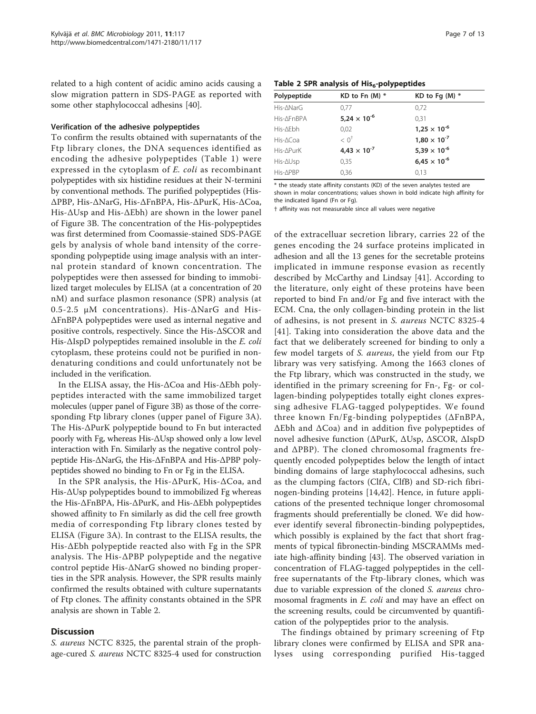related to a high content of acidic amino acids causing a slow migration pattern in SDS-PAGE as reported with some other staphylococcal adhesins [\[40](#page-11-0)].

## Verification of the adhesive polypeptides

To confirm the results obtained with supernatants of the Ftp library clones, the DNA sequences identified as encoding the adhesive polypeptides (Table [1](#page-3-0)) were expressed in the cytoplasm of E. coli as recombinant polypeptides with six histidine residues at their N-termini by conventional methods. The purified polypeptides (His-ΔPBP, His-ΔNarG, His-ΔFnBPA, His-ΔPurK, His-ΔCoa, His-ΔUsp and His-ΔEbh) are shown in the lower panel of Figure [3B.](#page-5-0) The concentration of the His-polypeptides was first determined from Coomassie-stained SDS-PAGE gels by analysis of whole band intensity of the corresponding polypeptide using image analysis with an internal protein standard of known concentration. The polypeptides were then assessed for binding to immobilized target molecules by ELISA (at a concentration of 20 nM) and surface plasmon resonance (SPR) analysis (at 0.5-2.5 μM concentrations). His-ΔNarG and His-ΔFnBPA polypeptides were used as internal negative and positive controls, respectively. Since the His-ΔSCOR and His- $\Delta$ IspD polypeptides remained insoluble in the *E. coli* cytoplasm, these proteins could not be purified in nondenaturing conditions and could unfortunately not be included in the verification.

In the ELISA assay, the His-ΔCoa and His-ΔEbh polypeptides interacted with the same immobilized target molecules (upper panel of Figure [3B\)](#page-5-0) as those of the corresponding Ftp library clones (upper panel of Figure [3A](#page-5-0)). The His-ΔPurK polypeptide bound to Fn but interacted poorly with Fg, whereas His-ΔUsp showed only a low level interaction with Fn. Similarly as the negative control polypeptide His-ΔNarG, the His-ΔFnBPA and His-ΔPBP polypeptides showed no binding to Fn or Fg in the ELISA.

In the SPR analysis, the His-ΔPurK, His-ΔCoa, and His-ΔUsp polypeptides bound to immobilized Fg whereas the His-ΔFnBPA, His-ΔPurK, and His-ΔEbh polypeptides showed affinity to Fn similarly as did the cell free growth media of corresponding Ftp library clones tested by ELISA (Figure [3A\)](#page-5-0). In contrast to the ELISA results, the His-ΔEbh polypeptide reacted also with Fg in the SPR analysis. The His-ΔPBP polypeptide and the negative control peptide His-ΔNarG showed no binding properties in the SPR analysis. However, the SPR results mainly confirmed the results obtained with culture supernatants of Ftp clones. The affinity constants obtained in the SPR analysis are shown in Table 2.

#### **Discussion**

S. aureus NCTC 8325, the parental strain of the prophage-cured S. aureus NCTC 8325-4 used for construction

| Table 2 SPR analysis of His <sub>6</sub> -polypeptides |  |
|--------------------------------------------------------|--|
|--------------------------------------------------------|--|

| Polypeptide | KD to Fn $(M)$ *      | KD to Fq $(M)$ *      |
|-------------|-----------------------|-----------------------|
| His-∆NarG   | 0.77                  | 0,72                  |
| His-∆FnBPA  | $5,24 \times 10^{-6}$ | 0.31                  |
| His-∆Ebh    | 0,02                  | $1,25 \times 10^{-6}$ |
| His-∆Coa    | $\leq 0^+$            | $1,80 \times 10^{-7}$ |
| His-∆PurK   | $4.43 \times 10^{-7}$ | $5,39 \times 10^{-6}$ |
| His-∆Usp    | 0,35                  | $6,45 \times 10^{-6}$ |
| His-∆PBP    | 0.36                  | 0.13                  |
|             |                       |                       |

\* the steady state affinity constants (KD) of the seven analytes tested are shown in molar concentrations; values shown in bold indicate high affinity for the indicated ligand (Fn or Fg).

† affinity was not measurable since all values were negative

of the extracelluar secretion library, carries 22 of the genes encoding the 24 surface proteins implicated in adhesion and all the 13 genes for the secretable proteins implicated in immune response evasion as recently described by McCarthy and Lindsay [\[41](#page-11-0)]. According to the literature, only eight of these proteins have been reported to bind Fn and/or Fg and five interact with the ECM. Cna, the only collagen-binding protein in the list of adhesins, is not present in S. aureus NCTC 8325-4 [[41](#page-11-0)]. Taking into consideration the above data and the fact that we deliberately screened for binding to only a few model targets of S. aureus, the yield from our Ftp library was very satisfying. Among the 1663 clones of the Ftp library, which was constructed in the study, we identified in the primary screening for Fn-, Fg- or collagen-binding polypeptides totally eight clones expressing adhesive FLAG-tagged polypeptides. We found three known Fn/Fg-binding polypeptides (ΔFnBPA, ΔEbh and ΔCoa) and in addition five polypeptides of novel adhesive function (ΔPurK, ΔUsp, ΔSCOR, ΔIspD and ΔPBP). The cloned chromosomal fragments frequently encoded polypeptides below the length of intact binding domains of large staphylococcal adhesins, such as the clumping factors (ClfA, ClfB) and SD-rich fibrinogen-binding proteins [[14](#page-11-0),[42\]](#page-11-0). Hence, in future applications of the presented technique longer chromosomal fragments should preferentially be cloned. We did however identify several fibronectin-binding polypeptides, which possibly is explained by the fact that short fragments of typical fibronectin-binding MSCRAMMs mediate high-affinity binding [[43](#page-11-0)]. The observed variation in concentration of FLAG-tagged polypeptides in the cellfree supernatants of the Ftp-library clones, which was due to variable expression of the cloned *S. aureus* chromosomal fragments in E. coli and may have an effect on the screening results, could be circumvented by quantification of the polypeptides prior to the analysis.

The findings obtained by primary screening of Ftp library clones were confirmed by ELISA and SPR analyses using corresponding purified His-tagged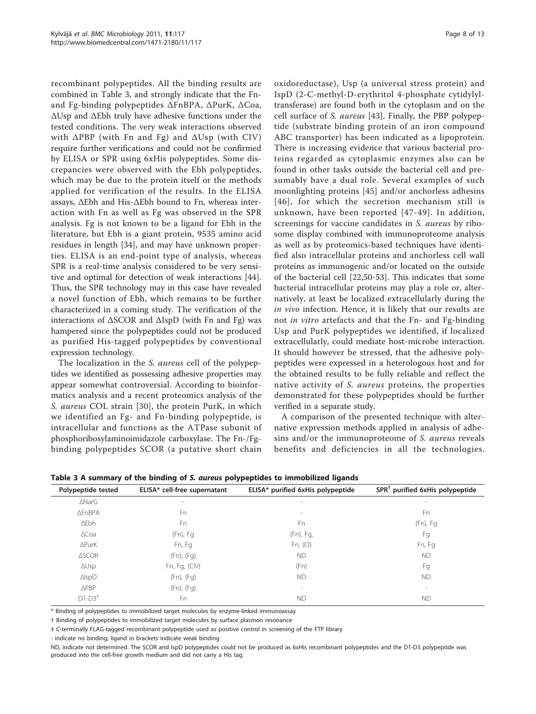recombinant polypeptides. All the binding results are combined in Table 3, and strongly indicate that the Fnand Fg-binding polypeptides ΔFnBPA, ΔPurK, ΔCoa, ΔUsp and ΔEbh truly have adhesive functions under the tested conditions. The very weak interactions observed with  $\triangle PBP$  (with Fn and Fg) and  $\triangle Usp$  (with CIV) require further verifications and could not be confirmed by ELISA or SPR using 6xHis polypeptides. Some discrepancies were observed with the Ebh polypeptides, which may be due to the protein itself or the methods applied for verification of the results. In the ELISA assays, ΔEbh and His-ΔEbh bound to Fn, whereas interaction with Fn as well as Fg was observed in the SPR analysis. Fg is not known to be a ligand for Ebh in the literature, but Ebh is a giant protein, 9535 amino acid residues in length [\[34](#page-11-0)], and may have unknown properties. ELISA is an end-point type of analysis, whereas SPR is a real-time analysis considered to be very sensitive and optimal for detection of weak interactions [\[44](#page-11-0)]. Thus, the SPR technology may in this case have revealed a novel function of Ebh, which remains to be further characterized in a coming study. The verification of the interactions of ΔSCOR and ΔIspD (with Fn and Fg) was hampered since the polypeptides could not be produced as purified His-tagged polypeptides by conventional expression technology.

The localization in the *S. aureus* cell of the polypeptides we identified as possessing adhesive properties may appear somewhat controversial. According to bioinformatics analysis and a recent proteomics analysis of the S. aureus COL strain [[30\]](#page-11-0), the protein PurK, in which we identified an Fg- and Fn-binding polypeptide, is intracellular and functions as the ATPase subunit of phosphoribosylaminoimidazole carboxylase. The Fn-/Fgbinding polypeptides SCOR (a putative short chain oxidoreductase), Usp (a universal stress protein) and IspD (2-C-methyl-D-erythritol 4-phosphate cytidylyltransferase) are found both in the cytoplasm and on the cell surface of S. aureus [\[43](#page-11-0)]. Finally, the PBP polypeptide (substrate binding protein of an iron compound ABC transporter) has been indicated as a lipoprotein. There is increasing evidence that various bacterial proteins regarded as cytoplasmic enzymes also can be found in other tasks outside the bacterial cell and presumably have a dual role. Several examples of such moonlighting proteins [[45](#page-12-0)] and/or anchorless adhesins [[46](#page-12-0)], for which the secretion mechanism still is unknown, have been reported [[47](#page-12-0)-[49\]](#page-12-0). In addition, screenings for vaccine candidates in S. aureus by ribosome display combined with immunoproteome analysis as well as by proteomics-based techniques have identified also intracellular proteins and anchorless cell wall proteins as immunogenic and/or located on the outside of the bacterial cell [[22,](#page-11-0)[50-53](#page-12-0)]. This indicates that some bacterial intracellular proteins may play a role or, alternatively, at least be localized extracellularly during the in vivo infection. Hence, it is likely that our results are not in vitro artefacts and that the Fn- and Fg-binding Usp and PurK polypeptides we identified, if localized extracellularly, could mediate host-microbe interaction. It should however be stressed, that the adhesive polypeptides were expressed in a heterologous host and for the obtained results to be fully reliable and reflect the native activity of S. aureus proteins, the properties demonstrated for these polypeptides should be further verified in a separate study.

A comparison of the presented technique with alternative expression methods applied in analysis of adhesins and/or the immunoproteome of S. aureus reveals benefits and deficiencies in all the technologies.

| Polypeptide tested         | ELISA* cell-free supernatant | ELISA* purified 6xHis polypeptide | $SPR†$ purified 6xHis polypeptide |
|----------------------------|------------------------------|-----------------------------------|-----------------------------------|
| $\triangle$ NarG           | $\overline{\phantom{a}}$     | $\sim$                            | $\sim$                            |
| ∆FnBPA                     | Fn                           | $\sim$                            | Fn                                |
| $\Delta$ Ebh               | Fn                           | Fn                                | $(Fn)$ , $Fq$                     |
| $\triangle Coa$            | $(Fn)$ , $Fq$                | (Fn), Fg,                         | Fg                                |
| ∆PurK                      | Fn, Fg                       | Fn, (Cl)                          | Fn, Fg                            |
| <b>ASCOR</b>               | $(Fn)$ , $(Fq)$              | <b>ND</b>                         | <b>ND</b>                         |
| $\triangle$ Usp            | Fn, Fg, $(CIV)$              | (Fn)                              | Fg                                |
| $\triangle$ <sub>spD</sub> | (Fn), (Fg)                   | <b>ND</b>                         | <b>ND</b>                         |
| $\triangle PBP$            | $(Fn)$ , $(Fq)$              | $\overline{\phantom{a}}$          | $\sim$                            |
| $D1-D3^+$                  | Fn                           | <b>ND</b>                         | <b>ND</b>                         |

Table 3 A summary of the binding of S. aureus polypeptides to immobilized ligands

\* Binding of polypeptides to immobilized target molecules by enzyme-linked immunoassay

† Binding of polypeptides to immobilized target molecules by surface plasmon resonance

‡ C-terminally FLAG-tagged recombinant polypeptide used as positive control in screening of the FTP library

- indicate no binding; ligand in brackets indicate weak binding

ND, indicate not determined. The SCOR and IspD polypeptides could not be produced as 6xHis recombinant polypeptides and the D1-D3 polypeptide was produced into the cell-free growth medium and did not carry a His tag.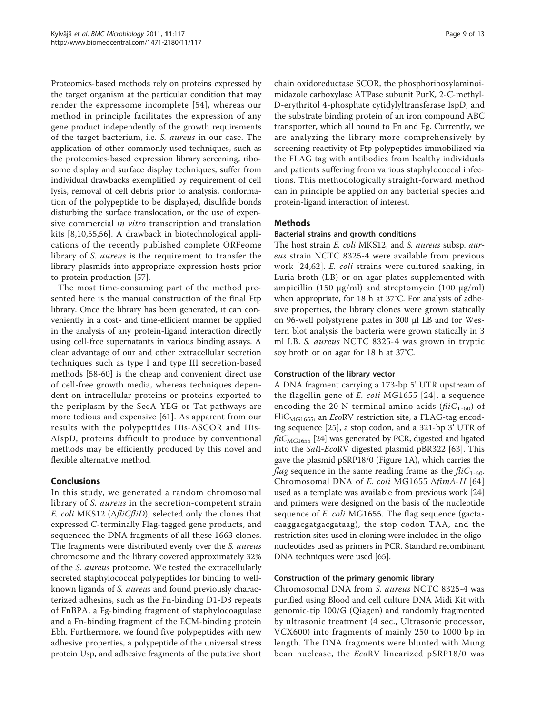Proteomics-based methods rely on proteins expressed by the target organism at the particular condition that may render the expressome incomplete [[54](#page-12-0)], whereas our method in principle facilitates the expression of any gene product independently of the growth requirements of the target bacterium, i.e. S. aureus in our case. The application of other commonly used techniques, such as the proteomics-based expression library screening, ribosome display and surface display techniques, suffer from individual drawbacks exemplified by requirement of cell lysis, removal of cell debris prior to analysis, conformation of the polypeptide to be displayed, disulfide bonds disturbing the surface translocation, or the use of expensive commercial *in vitro* transcription and translation kits [\[8](#page-11-0),[10,](#page-11-0)[55,56](#page-12-0)]. A drawback in biotechnological applications of the recently published complete ORFeome library of S. aureus is the requirement to transfer the library plasmids into appropriate expression hosts prior to protein production [\[57\]](#page-12-0).

The most time-consuming part of the method presented here is the manual construction of the final Ftp library. Once the library has been generated, it can conveniently in a cost- and time-efficient manner be applied in the analysis of any protein-ligand interaction directly using cell-free supernatants in various binding assays. A clear advantage of our and other extracellular secretion techniques such as type I and type III secretion-based methods [[58-60](#page-12-0)] is the cheap and convenient direct use of cell-free growth media, whereas techniques dependent on intracellular proteins or proteins exported to the periplasm by the SecA-YEG or Tat pathways are more tedious and expensive [\[61](#page-12-0)]. As apparent from our results with the polypeptides His-ΔSCOR and His-ΔIspD, proteins difficult to produce by conventional methods may be efficiently produced by this novel and flexible alternative method.

## Conclusions

In this study, we generated a random chromosomal library of S. aureus in the secretion-competent strain E. coli MKS12 ( $\Delta filCflip$ ), selected only the clones that expressed C-terminally Flag-tagged gene products, and sequenced the DNA fragments of all these 1663 clones. The fragments were distributed evenly over the S. aureus chromosome and the library covered approximately 32% of the S. aureus proteome. We tested the extracellularly secreted staphylococcal polypeptides for binding to wellknown ligands of S. aureus and found previously characterized adhesins, such as the Fn-binding D1-D3 repeats of FnBPA, a Fg-binding fragment of staphylocoagulase and a Fn-binding fragment of the ECM-binding protein Ebh. Furthermore, we found five polypeptides with new adhesive properties, a polypeptide of the universal stress protein Usp, and adhesive fragments of the putative short chain oxidoreductase SCOR, the phosphoribosylaminoimidazole carboxylase ATPase subunit PurK, 2-C-methyl-D-erythritol 4-phosphate cytidylyltransferase IspD, and the substrate binding protein of an iron compound ABC transporter, which all bound to Fn and Fg. Currently, we are analyzing the library more comprehensively by screening reactivity of Ftp polypeptides immobilized via the FLAG tag with antibodies from healthy individuals and patients suffering from various staphylococcal infections. This methodologically straight-forward method can in principle be applied on any bacterial species and protein-ligand interaction of interest.

## Methods

## Bacterial strains and growth conditions

The host strain E. coli MKS12, and S. aureus subsp. aureus strain NCTC 8325-4 were available from previous work [[24,](#page-11-0)[62](#page-12-0)]. E. coli strains were cultured shaking, in Luria broth (LB) or on agar plates supplemented with ampicillin (150 μg/ml) and streptomycin (100 μg/ml) when appropriate, for 18 h at 37°C. For analysis of adhesive properties, the library clones were grown statically on 96-well polystyrene plates in 300 μl LB and for Western blot analysis the bacteria were grown statically in 3 ml LB. S. aureus NCTC 8325-4 was grown in tryptic soy broth or on agar for 18 h at 37°C.

## Construction of the library vector

A DNA fragment carrying a 173-bp 5' UTR upstream of the flagellin gene of E. coli MG1655 [[24\]](#page-11-0), a sequence encoding the 20 N-terminal amino acids ( $\text{flic}_{1-60}$ ) of  $FliC_{MG1655}$ , an *EcoRV* restriction site, a FLAG-tag encoding sequence [\[25](#page-11-0)], a stop codon, and a 321-bp 3' UTR of  $fliC_{MG1655}$  [\[24\]](#page-11-0) was generated by PCR, digested and ligated into the SalI-EcoRV digested plasmid pBR322 [[63\]](#page-12-0). This gave the plasmid pSRP18/0 (Figure [1A](#page-1-0)), which carries the *flag* sequence in the same reading frame as the  $\text{fil}C_{1-60}$ . Chromosomal DNA of E. coli MG1655 ΔfimA-H [[64](#page-12-0)] used as a template was available from previous work [[24](#page-11-0)] and primers were designed on the basis of the nucleotide sequence of *E. coli* MG1655. The flag sequence (gactacaaggacgatgacgataag), the stop codon TAA, and the restriction sites used in cloning were included in the oligonucleotides used as primers in PCR. Standard recombinant DNA techniques were used [[65](#page-12-0)].

## Construction of the primary genomic library

Chromosomal DNA from S. aureus NCTC 8325-4 was purified using Blood and cell culture DNA Midi Kit with genomic-tip 100/G (Qiagen) and randomly fragmented by ultrasonic treatment (4 sec., Ultrasonic processor, VCX600) into fragments of mainly 250 to 1000 bp in length. The DNA fragments were blunted with Mung bean nuclease, the EcoRV linearized pSRP18/0 was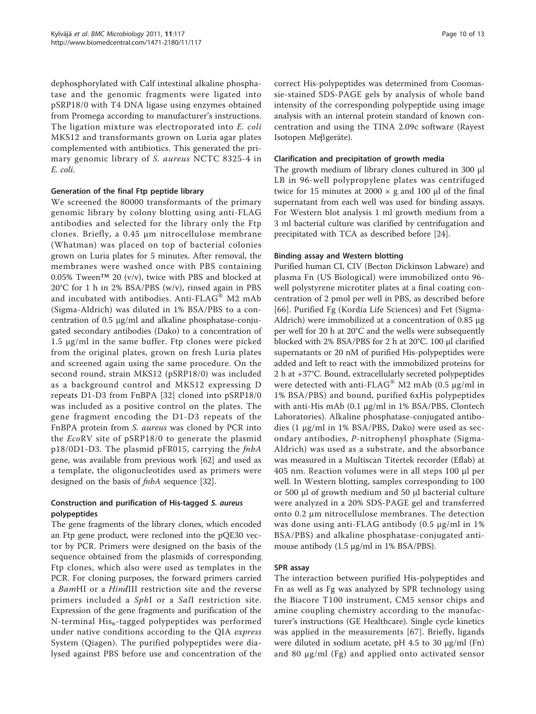dephosphorylated with Calf intestinal alkaline phosphatase and the genomic fragments were ligated into pSRP18/0 with T4 DNA ligase using enzymes obtained from Promega according to manufacturer's instructions. The ligation mixture was electroporated into E. coli MKS12 and transformants grown on Luria agar plates complemented with antibiotics. This generated the primary genomic library of S. aureus NCTC 8325-4 in E. coli.

## Generation of the final Ftp peptide library

We screened the 80000 transformants of the primary genomic library by colony blotting using anti-FLAG antibodies and selected for the library only the Ftp clones. Briefly, a 0.45 μm nitrocellulose membrane (Whatman) was placed on top of bacterial colonies grown on Luria plates for 5 minutes. After removal, the membranes were washed once with PBS containing 0.05% Tween<sup>TM</sup> 20 (v/v), twice with PBS and blocked at 20°C for 1 h in 2% BSA/PBS (w/v), rinsed again in PBS and incubated with antibodies. Anti-FLAG® M2 mAb (Sigma-Aldrich) was diluted in 1% BSA/PBS to a concentration of 0.5 μg/ml and alkaline phosphatase-conjugated secondary antibodies (Dako) to a concentration of 1.5 μg/ml in the same buffer. Ftp clones were picked from the original plates, grown on fresh Luria plates and screened again using the same procedure. On the second round, strain MKS12 (pSRP18/0) was included as a background control and MKS12 expressing D repeats D1-D3 from FnBPA [[32\]](#page-11-0) cloned into pSRP18/0 was included as a positive control on the plates. The gene fragment encoding the D1-D3 repeats of the FnBPA protein from S. aureus was cloned by PCR into the EcoRV site of pSRP18/0 to generate the plasmid p18/0D1-D3. The plasmid pFR015, carrying the fnbA gene, was available from previous work [[62\]](#page-12-0) and used as a template, the oligonucleotides used as primers were designed on the basis of *fnbA* sequence [\[32](#page-11-0)].

## Construction and purification of His-tagged S. aureus polypeptides

The gene fragments of the library clones, which encoded an Ftp gene product, were recloned into the pQE30 vector by PCR. Primers were designed on the basis of the sequence obtained from the plasmids of corresponding Ftp clones, which also were used as templates in the PCR. For cloning purposes, the forward primers carried a BamHI or a HindIII restriction site and the reverse primers included a SphI or a SalI restriction site. Expression of the gene fragments and purification of the N-terminal His<sub>6</sub>-tagged polypeptides was performed under native conditions according to the QIA express System (Qiagen). The purified polypeptides were dialysed against PBS before use and concentration of the correct His-polypeptides was determined from Coomassie-stained SDS-PAGE gels by analysis of whole band intensity of the corresponding polypeptide using image analysis with an internal protein standard of known concentration and using the TINA 2.09c software (Rayest Isotopen Mebgeräte).

#### Clarification and precipitation of growth media

The growth medium of library clones cultured in 300 μl LB in 96-well polypropylene plates was centrifuged twice for 15 minutes at 2000  $\times$  g and 100 μl of the final supernatant from each well was used for binding assays. For Western blot analysis 1 ml growth medium from a 3 ml bacterial culture was clarified by centrifugation and precipitated with TCA as described before [\[24](#page-11-0)].

#### Binding assay and Western blotting

Purified human CI, CIV (Becton Dickinson Labware) and plasma Fn (US Biological) were immobilized onto 96 well polystyrene microtiter plates at a final coating concentration of 2 pmol per well in PBS, as described before [[66](#page-12-0)]. Purified Fg (Kordia Life Sciences) and Fet (Sigma-Aldrich) were immobilized at a concentration of 0.85 μg per well for 20 h at 20°C and the wells were subsequently blocked with 2% BSA/PBS for 2 h at 20°C. 100 μl clarified supernatants or 20 nM of purified His-polypeptides were added and left to react with the immobilized proteins for 2 h at +37°C. Bound, extracellularly secreted polypeptides were detected with anti-FLAG<sup>®</sup> M2 mAb (0.5  $\mu$ g/ml in 1% BSA/PBS) and bound, purified 6xHis polypeptides with anti-His mAb (0.1 μg/ml in 1% BSA/PBS, Clontech Laboratories). Alkaline phosphatase-conjugated antibodies (1 μg/ml in 1% BSA/PBS, Dako) were used as secondary antibodies, P-nitrophenyl phosphate (Sigma-Aldrich) was used as a substrate, and the absorbance was measured in a Multiscan Titertek recorder (Eflab) at 405 nm. Reaction volumes were in all steps 100 μl per well. In Western blotting, samples corresponding to 100 or 500 μl of growth medium and 50 μl bacterial culture were analyzed in a 20% SDS-PAGE gel and transferred onto 0.2 μm nitrocellulose membranes. The detection was done using anti-FLAG antibody (0.5 μg/ml in 1% BSA/PBS) and alkaline phosphatase-conjugated antimouse antibody (1.5 μg/ml in 1% BSA/PBS).

## SPR assay

The interaction between purified His-polypeptides and Fn as well as Fg was analyzed by SPR technology using the Biacore T100 instrument, CM5 sensor chips and amine coupling chemistry according to the manufacturer's instructions (GE Healthcare). Single cycle kinetics was applied in the measurements [[67\]](#page-12-0). Briefly, ligands were diluted in sodium acetate, pH 4.5 to 30 μg/ml (Fn) and 80 μg/ml (Fg) and applied onto activated sensor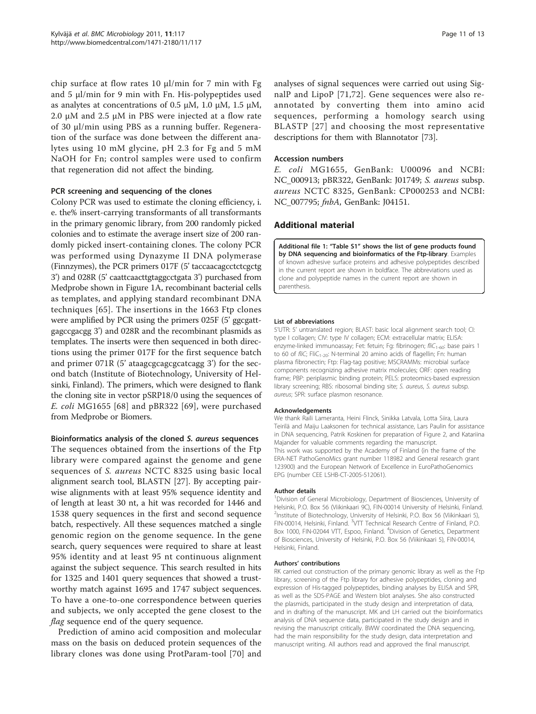<span id="page-10-0"></span>chip surface at flow rates 10 μl/min for 7 min with Fg and 5 μl/min for 9 min with Fn. His-polypeptides used as analytes at concentrations of 0.5 μM, 1.0 μM, 1.5 μM, 2.0 μM and 2.5 μM in PBS were injected at a flow rate of 30 μl/min using PBS as a running buffer. Regeneration of the surface was done between the different analytes using 10 mM glycine, pH 2.3 for Fg and 5 mM NaOH for Fn; control samples were used to confirm that regeneration did not affect the binding.

#### PCR screening and sequencing of the clones

Colony PCR was used to estimate the cloning efficiency, i. e. the% insert-carrying transformants of all transformants in the primary genomic library, from 200 randomly picked colonies and to estimate the average insert size of 200 randomly picked insert-containing clones. The colony PCR was performed using Dynazyme II DNA polymerase (Finnzymes), the PCR primers 017F (5' taccaacagcctctcgctg 3') and 028R (5' caattcaacttgtaggcctgata 3') purchased from Medprobe shown in Figure [1A](#page-1-0), recombinant bacterial cells as templates, and applying standard recombinant DNA techniques [[65\]](#page-12-0). The insertions in the 1663 Ftp clones were amplified by PCR using the primers 025F (5' ggcgattgagccgacgg 3') and 028R and the recombinant plasmids as templates. The inserts were then sequenced in both directions using the primer 017F for the first sequence batch and primer 071R (5' ataagcgcagcgcatcagg 3') for the second batch (Institute of Biotechnology, University of Helsinki, Finland). The primers, which were designed to flank the cloning site in vector pSRP18/0 using the sequences of E. coli MG1655 [[68](#page-12-0)] and pBR322 [[69](#page-12-0)], were purchased from Medprobe or Biomers.

#### Bioinformatics analysis of the cloned S. aureus sequences

The sequences obtained from the insertions of the Ftp library were compared against the genome and gene sequences of S. aureus NCTC 8325 using basic local alignment search tool, BLASTN [\[27](#page-11-0)]. By accepting pairwise alignments with at least 95% sequence identity and of length at least 30 nt, a hit was recorded for 1446 and 1538 query sequences in the first and second sequence batch, respectively. All these sequences matched a single genomic region on the genome sequence. In the gene search, query sequences were required to share at least 95% identity and at least 95 nt continuous alignment against the subject sequence. This search resulted in hits for 1325 and 1401 query sequences that showed a trustworthy match against 1695 and 1747 subject sequences. To have a one-to-one correspondence between queries and subjects, we only accepted the gene closest to the flag sequence end of the query sequence.

Prediction of amino acid composition and molecular mass on the basis on deduced protein sequences of the library clones was done using ProtParam-tool [\[70](#page-12-0)] and analyses of signal sequences were carried out using SignalP and LipoP [[71](#page-12-0),[72\]](#page-12-0). Gene sequences were also reannotated by converting them into amino acid sequences, performing a homology search using BLASTP [[27\]](#page-11-0) and choosing the most representative descriptions for them with Blannotator [[73](#page-12-0)].

#### Accession numbers

E. coli MG1655, GenBank: [U00096](http://www.ncbi.nih.gov/entrez/query.fcgi?db=Nucleotide&cmd=search&term=U00096) and NCBI: NC\_000913; pBR322, GenBank: [J01749;](http://www.ncbi.nih.gov/entrez/query.fcgi?db=Nucleotide&cmd=search&term=J01749) S. aureus subsp. aureus NCTC 8325, GenBank: [CP000253](http://www.ncbi.nih.gov/entrez/query.fcgi?db=Nucleotide&cmd=search&term=CP000253) and NCBI: NC\_007795; fnbA, GenBank: [J04151](http://www.ncbi.nih.gov/entrez/query.fcgi?db=Nucleotide&cmd=search&term=J04151).

## Additional material

[Additional file 1:](http://www.biomedcentral.com/content/supplementary/1471-2180-11-117-S1.PDF) "Table S1" shows the list of gene products found by DNA sequencing and bioinformatics of the Ftp-library. Examples of known adhesive surface proteins and adhesive polypeptides described in the current report are shown in boldface. The abbreviations used as clone and polypeptide names in the current report are shown in parenthesis.

#### List of abbreviations

5'UTR: 5' untranslated region; BLAST: basic local alignment search tool; CI: type I collagen; CIV: type IV collagen; ECM: extracellular matrix; ELISA: enzyme-linked immunoassay; Fet: fetuin; Fg: fibrinogen; fliC<sub>1-60</sub>: base pairs 1 to 60 of fliC; FliC<sub>1-20</sub>: N-terminal 20 amino acids of flagellin; Fn: human plasma fibronectin; Ftp: Flag-tag positive; MSCRAMMs: microbial surface components recognizing adhesive matrix molecules; ORF: open reading frame; PBP: periplasmic binding protein; PELS: proteomics-based expression library screening; RBS: ribosomal binding site; S. aureus, S. aureus subsp. aureus; SPR: surface plasmon resonance.

#### Acknowledgements

We thank Raili Lameranta, Heini Flinck, Sinikka Latvala, Lotta Siira, Laura Teirilä and Maiju Laaksonen for technical assistance, Lars Paulin for assistance in DNA sequencing, Patrik Koskinen for preparation of Figure 2, and Katariina Majander for valuable comments regarding the manuscript. This work was supported by the Academy of Finland (in the frame of the ERA-NET PathoGenoMics grant number 118982 and General research grant 123900) and the European Network of Excellence in EuroPathoGenomics EPG (number CEE LSHB-CT-2005-512061).

#### Author details

<sup>1</sup> Division of General Microbiology, Department of Biosciences, University of Helsinki, P.O. Box 56 (Viikinkaari 9C), FIN-00014 University of Helsinki, Finland. <sup>2</sup>Institute of Biotechnology, University of Helsinki, P.O. Box 56 (Viikinkaari 5) FIN-00014, Helsinki, Finland. <sup>3</sup>VTT Technical Research Centre of Finland, P.O. Box 1000, FIN-02044 VTT, Espoo, Finland. <sup>4</sup> Division of Genetics, Department of Biosciences, University of Helsinki, P.O. Box 56 (Viikinkaari 5), FIN-00014, Helsinki, Finland.

#### Authors' contributions

RK carried out construction of the primary genomic library as well as the Ftp library, screening of the Ftp library for adhesive polypeptides, cloning and expression of His-tagged polypeptides, binding analyses by ELISA and SPR, as well as the SDS-PAGE and Western blot analyses. She also constructed the plasmids, participated in the study design and interpretation of data, and in drafting of the manuscript. MK and LH carried out the bioinformatics analysis of DNA sequence data, participated in the study design and in revising the manuscript critically. BWW coordinated the DNA sequencing, had the main responsibility for the study design, data interpretation and manuscript writing. All authors read and approved the final manuscript.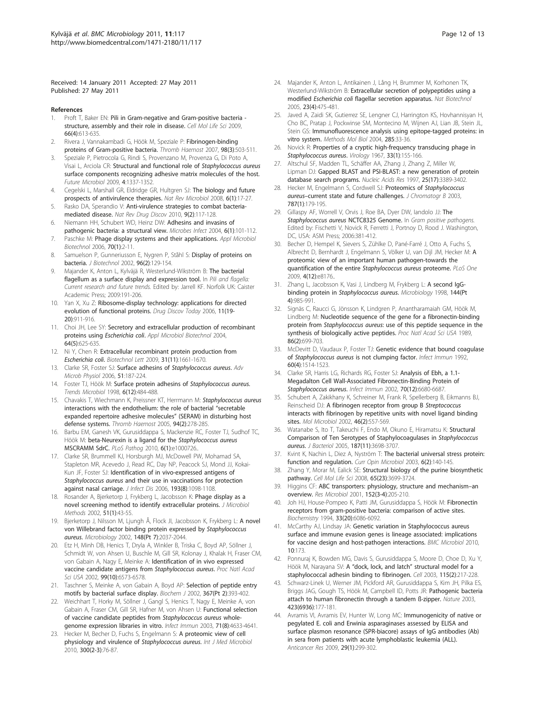<span id="page-11-0"></span>Received: 14 January 2011 Accepted: 27 May 2011 Published: 27 May 2011

#### References

- 1. Proft T, Baker EN: [Pili in Gram-negative and Gram-positive bacteria](http://www.ncbi.nlm.nih.gov/pubmed/18953686?dopt=Abstract)  [structure, assembly and their role in disease.](http://www.ncbi.nlm.nih.gov/pubmed/18953686?dopt=Abstract) Cell Mol Life Sci 2009, 66(4):613-635.
- 2. Rivera J, Vannakambadi G, Höök M, Speziale P: [Fibrinogen-binding](http://www.ncbi.nlm.nih.gov/pubmed/17849038?dopt=Abstract) [proteins of Gram-positive bacteria.](http://www.ncbi.nlm.nih.gov/pubmed/17849038?dopt=Abstract) Thromb Haemost 2007, 98(3):503-511.
- 3. Speziale P, Pietrocola G, Rindi S, Provenzano M, Provenza G, Di Poto A, Visai L, Arciola CR: [Structural and functional role of](http://www.ncbi.nlm.nih.gov/pubmed/19995192?dopt=Abstract) Staphylococcus aureus [surface components recognizing adhesive matrix molecules of the host.](http://www.ncbi.nlm.nih.gov/pubmed/19995192?dopt=Abstract) Future Microbiol 2009, 4:1337-1352.
- 4. Cegelski L, Marshall GR, Eldridge GR, Hultgren SJ: [The biology and future](http://www.ncbi.nlm.nih.gov/pubmed/18079741?dopt=Abstract) [prospects of antivirulence therapies.](http://www.ncbi.nlm.nih.gov/pubmed/18079741?dopt=Abstract) Nat Rev Microbiol 2008, 6(1):17-27.
- 5. Rasko DA, Sperandio V: [Anti-virulence strategies to combat bacteria](http://www.ncbi.nlm.nih.gov/pubmed/20081869?dopt=Abstract)[mediated disease.](http://www.ncbi.nlm.nih.gov/pubmed/20081869?dopt=Abstract) Nat Rev Drug Discov 2010, 9(2):117-128.
- 6. Niemann HH, Schubert WD, Heinz DW: [Adhesins and invasins of](http://www.ncbi.nlm.nih.gov/pubmed/14738899?dopt=Abstract) [pathogenic bacteria: a structural view.](http://www.ncbi.nlm.nih.gov/pubmed/14738899?dopt=Abstract) Microbes Infect 2004, 6(1):101-112.
- 7. Paschke M: [Phage display systems and their applications.](http://www.ncbi.nlm.nih.gov/pubmed/16365766?dopt=Abstract) Appl Microbiol Biotechnol 2006, 70(1):2-11.
- 8. Samuelson P, Gunneriusson E, Nygren P, Ståhl S: [Display of proteins on](http://www.ncbi.nlm.nih.gov/pubmed/12039531?dopt=Abstract) [bacteria.](http://www.ncbi.nlm.nih.gov/pubmed/12039531?dopt=Abstract) J Biotechnol 2002, 96(2):129-154.
- Majander K, Anton L, Kylväjä R, Westerlund-Wikström B: The bacterial flagellum as a surface display and expression tool. In Pili and flagella: Current research and future trends. Edited by: Jarrell KF. Norfolk UK: Caister Academic Press; 2009:191-206.
- 10. Yan X, Xu Z: [Ribosome-display technology: applications for directed](http://www.ncbi.nlm.nih.gov/pubmed/16997141?dopt=Abstract) [evolution of functional proteins.](http://www.ncbi.nlm.nih.gov/pubmed/16997141?dopt=Abstract) Drug Discov Today 2006, 11(19- 20):911-916.
- 11. Choi JH, Lee SY: [Secretory and extracellular production of recombinant](http://www.ncbi.nlm.nih.gov/pubmed/14966662?dopt=Abstract) [proteins using](http://www.ncbi.nlm.nih.gov/pubmed/14966662?dopt=Abstract) Escherichia coli. Appl Microbiol Biotechnol 2004, 64(5):625-635.
- 12. Ni Y, Chen R: [Extracellular recombinant protein production from](http://www.ncbi.nlm.nih.gov/pubmed/19597765?dopt=Abstract) [Escherichia coli](http://www.ncbi.nlm.nih.gov/pubmed/19597765?dopt=Abstract). Biotechnol Lett 2009, 31(11):1661-1670.
- 13. Clarke SR, Foster SJ: [Surface adhesins of](http://www.ncbi.nlm.nih.gov/pubmed/17010697?dopt=Abstract) Staphylococcus aureus. Adv Microb Physiol 2006, 51:187-224.
- 14. Foster TJ, Höök M: [Surface protein adhesins of](http://www.ncbi.nlm.nih.gov/pubmed/10036727?dopt=Abstract) Staphylococcus aureus. Trends Microbiol 1998, 6(12):484-488.
- 15. Chavakis T, Wiechmann K, Preissner KT, Herrmann M: [Staphylococcus aureus](http://www.ncbi.nlm.nih.gov/pubmed/16113816?dopt=Abstract) [interactions with the endothelium: the role of bacterial](http://www.ncbi.nlm.nih.gov/pubmed/16113816?dopt=Abstract) "secretable [expanded repertoire adhesive molecules](http://www.ncbi.nlm.nih.gov/pubmed/16113816?dopt=Abstract)" (SERAM) in disturbing host [defense systems.](http://www.ncbi.nlm.nih.gov/pubmed/16113816?dopt=Abstract) Thromb Haemost 2005, 94(2):278-285.
- 16. Barbu EM, Ganesh VK, Gurusiddappa S, Mackenzie RC, Foster TJ, Sudhof TC, Höök M: [beta-Neurexin is a ligand for the](http://www.ncbi.nlm.nih.gov/pubmed/20090838?dopt=Abstract) Staphylococcus aureus [MSCRAMM SdrC.](http://www.ncbi.nlm.nih.gov/pubmed/20090838?dopt=Abstract) PLoS Pathog 2010, 6(1):e1000726..
- 17. Clarke SR, Brummell KJ, Horsburgh MJ, McDowell PW, Mohamad SA, Stapleton MR, Acevedo J, Read RC, Day NP, Peacock SJ, Mond JJ, Kokai-Kun JF, Foster SJ: [Identification of in vivo-expressed antigens of](http://www.ncbi.nlm.nih.gov/pubmed/16544250?dopt=Abstract) Staphylococcus aureus [and their use in vaccinations for protection](http://www.ncbi.nlm.nih.gov/pubmed/16544250?dopt=Abstract) [against nasal carriage.](http://www.ncbi.nlm.nih.gov/pubmed/16544250?dopt=Abstract) J Infect Dis 2006, 193(8):1098-1108.
- 18. Rosander A, Bjerketorp J, Frykberg L, Jacobsson K: [Phage display as a](http://www.ncbi.nlm.nih.gov/pubmed/12069889?dopt=Abstract) [novel screening method to identify extracellular proteins.](http://www.ncbi.nlm.nih.gov/pubmed/12069889?dopt=Abstract) J Microbiol Methods 2002, 51(1):43-55.
- 19. Bjerketorp J, Nilsson M, Ljungh Å, Flock JI, Jacobsson K, Frykberg L: [A novel](http://www.ncbi.nlm.nih.gov/pubmed/12101292?dopt=Abstract) [von Willebrand factor binding protein expressed by](http://www.ncbi.nlm.nih.gov/pubmed/12101292?dopt=Abstract) Staphylococcus [aureus](http://www.ncbi.nlm.nih.gov/pubmed/12101292?dopt=Abstract). Microbiology 2002, 148(Pt 7):2037-2044.
- 20. Etz H, Minh DB, Henics T, Dryla A, Winkler B, Triska C, Boyd AP, Söllner J, Schmidt W, von Ahsen U, Buschle M, Gill SR, Kolonay J, Khalak H, Fraser CM, von Gabain A, Nagy E, Meinke A: [Identification of in vivo expressed](http://www.ncbi.nlm.nih.gov/pubmed/11997460?dopt=Abstract) [vaccine candidate antigens from](http://www.ncbi.nlm.nih.gov/pubmed/11997460?dopt=Abstract) Staphylococcus aureus. Proc Natl Acad Sci USA 2002, 99(10):6573-6578.
- 21. Taschner S, Meinke A, von Gabain A, Boyd AP: [Selection of peptide entry](http://www.ncbi.nlm.nih.gov/pubmed/12144529?dopt=Abstract) [motifs by bacterial surface display.](http://www.ncbi.nlm.nih.gov/pubmed/12144529?dopt=Abstract) Biochem J 2002, 367(Pt 2):393-402.
- 22. Weichhart T, Horky M, Söllner J, Gangl S, Henics T, Nagy E, Meinke A, von Gabain A, Fraser CM, Gill SR, Hafner M, von Ahsen U: [Functional selection](http://www.ncbi.nlm.nih.gov/pubmed/12874343?dopt=Abstract) [of vaccine candidate peptides from](http://www.ncbi.nlm.nih.gov/pubmed/12874343?dopt=Abstract) Staphylococcus aureus whole[genome expression libraries in vitro.](http://www.ncbi.nlm.nih.gov/pubmed/12874343?dopt=Abstract) Infect Immun 2003, 71(8):4633-4641.
- 23. Hecker M, Becher D, Fuchs S, Engelmann S: [A proteomic view of cell](http://www.ncbi.nlm.nih.gov/pubmed/20005169?dopt=Abstract) [physiology and virulence of](http://www.ncbi.nlm.nih.gov/pubmed/20005169?dopt=Abstract) Staphylococcus aureus. Int J Med Microbiol 2010, 300(2-3):76-87.
- 24. Majander K, Anton L, Antikainen J, Lång H, Brummer M, Korhonen TK, Westerlund-Wikström B: [Extracellular secretion of polypeptides using a](http://www.ncbi.nlm.nih.gov/pubmed/15806100?dopt=Abstract) modified Escherichia coli [flagellar secretion apparatus.](http://www.ncbi.nlm.nih.gov/pubmed/15806100?dopt=Abstract) Nat Biotechnol 2005, 23(4):475-481.
- 25. Javed A, Zaidi SK, Gutierrez SE, Lengner CJ, Harrington KS, Hovhannisyan H, Cho BC, Pratap J, Pockwinse SM, Montecino M, Wijnen AJ, Lian JB, Stein JL, Stein GS: [Immunofluorescence analysis using epitope-tagged proteins: in](http://www.ncbi.nlm.nih.gov/pubmed/15269394?dopt=Abstract) [vitro system.](http://www.ncbi.nlm.nih.gov/pubmed/15269394?dopt=Abstract) Methods Mol Biol 2004, 285:33-36.
- Novick R: [Properties of a cryptic high-frequency transducing phage in](http://www.ncbi.nlm.nih.gov/pubmed/4227577?dopt=Abstract) [Staphylococcus aureus](http://www.ncbi.nlm.nih.gov/pubmed/4227577?dopt=Abstract). Virology 1967, 33(1):155-166.
- 27. Altschul SF, Madden TL, Schäffer AA, Zhang J, Zhang Z, Miller W, Lipman DJ: [Gapped BLAST and PSI-BLAST: a new generation of protein](http://www.ncbi.nlm.nih.gov/pubmed/9254694?dopt=Abstract) [database search programs.](http://www.ncbi.nlm.nih.gov/pubmed/9254694?dopt=Abstract) Nucleic Acids Res 1997, 25(17):3389-3402.
- 28. Hecker M, Engelmann S, Cordwell SJ: Proteomics of Staphylococcus aureus–current state and future challenges. J Chromatogr B 2003, 787(1):179-195.
- 29. Gillaspy AF, Worrell V, Orvis J, Roe BA, Dyer DW, landolo JJ: The Staphylococcus aureus NCTC8325 Genome. In Gram positive pathogens. Edited by: Fischetti V, Novick R, Ferretti J, Portnoy D, Rood J. Washington, DC, USA: ASM Press; 2006:381-412.
- 30. Becher D, Hempel K, Sievers S, Zühlke D, Pané-Farré J, Otto A, Fuchs S, Albrecht D, Bernhardt J, Engelmann S, Völker U, van Dijl JM, Hecker M: [A](http://www.ncbi.nlm.nih.gov/pubmed/19997597?dopt=Abstract) [proteomic view of an important human pathogen-towards the](http://www.ncbi.nlm.nih.gov/pubmed/19997597?dopt=Abstract) [quantification of the entire](http://www.ncbi.nlm.nih.gov/pubmed/19997597?dopt=Abstract) Staphylococcus aureus proteome. PLoS One 2009, 4(12):e8176..
- 31. Zhang L, Jacobsson K, Vasi J, Lindberg M, Frykberg L: [A second IgG](http://www.ncbi.nlm.nih.gov/pubmed/9579072?dopt=Abstract)[binding protein in](http://www.ncbi.nlm.nih.gov/pubmed/9579072?dopt=Abstract) Staphylococcus aureus. Microbiology 1998, 144(Pt 4):985-991.
- 32. Signäs C, Raucci G, Jönsson K, Lindgren P, Anantharamaiah GM, Höök M, Lindberg M: [Nucleotide sequence of the gene for a fibronectin-binding](http://www.ncbi.nlm.nih.gov/pubmed/2521391?dopt=Abstract) protein from Staphylococcus aureus[: use of this peptide sequence in the](http://www.ncbi.nlm.nih.gov/pubmed/2521391?dopt=Abstract) [synthesis of biologically active peptides.](http://www.ncbi.nlm.nih.gov/pubmed/2521391?dopt=Abstract) Proc Natl Acad Sci USA 1989, 86(2):699-703.
- 33. McDevitt D, Vaudaux P, Foster TJ: [Genetic evidence that bound coagulase](http://www.ncbi.nlm.nih.gov/pubmed/1548075?dopt=Abstract) of Staphylococcus aureus [is not clumping factor.](http://www.ncbi.nlm.nih.gov/pubmed/1548075?dopt=Abstract) Infect Immun 1992, 60(4):1514-1523.
- 34. Clarke SR, Harris LG, Richards RG, Foster SJ: [Analysis of Ebh, a 1.1-](http://www.ncbi.nlm.nih.gov/pubmed/12438342?dopt=Abstract) [Megadalton Cell Wall-Associated Fibronectin-Binding Protein of](http://www.ncbi.nlm.nih.gov/pubmed/12438342?dopt=Abstract) [Staphylococcus aureus](http://www.ncbi.nlm.nih.gov/pubmed/12438342?dopt=Abstract). Infect Immun 2002, 70(12):6680-6687.
- 35. Schubert A, Zakikhany K, Schreiner M, Frank R, Spellerberg B, Eikmanns BJ, Reinscheid DJ: [A fibrinogen receptor from group B](http://www.ncbi.nlm.nih.gov/pubmed/12406229?dopt=Abstract) Streptococcus [interacts with fibrinogen by repetitive units with novel ligand binding](http://www.ncbi.nlm.nih.gov/pubmed/12406229?dopt=Abstract) [sites.](http://www.ncbi.nlm.nih.gov/pubmed/12406229?dopt=Abstract) Mol Microbiol 2002, 46(2):557-569.
- 36. Watanabe S, Ito T, Takeuchi F, Endo M, Okuno E, Hiramatsu K: [Structural](http://www.ncbi.nlm.nih.gov/pubmed/15901693?dopt=Abstract) [Comparison of Ten Serotypes of Staphylocoagulases in](http://www.ncbi.nlm.nih.gov/pubmed/15901693?dopt=Abstract) Staphylococcus [aureus](http://www.ncbi.nlm.nih.gov/pubmed/15901693?dopt=Abstract). J Bacteriol 2005, 187(11):3698-3707.
- 37. Kvint K, Nachin L, Diez A, Nyström T: [The bacterial universal stress protein:](http://www.ncbi.nlm.nih.gov/pubmed/12732303?dopt=Abstract) [function and regulation.](http://www.ncbi.nlm.nih.gov/pubmed/12732303?dopt=Abstract) Curr Opin Microbiol 2003, 6(2):140-145.
- 38. Zhang Y, Morar M, Ealick SE: [Structural biology of the purine biosynthetic](http://www.ncbi.nlm.nih.gov/pubmed/18712276?dopt=Abstract) [pathway.](http://www.ncbi.nlm.nih.gov/pubmed/18712276?dopt=Abstract) Cell Mol Life Sci 2008, 65(23):3699-3724.
- 39. Higgins CF: [ABC transporters: physiology, structure and mechanism](http://www.ncbi.nlm.nih.gov/pubmed/11421269?dopt=Abstract)–an [overview.](http://www.ncbi.nlm.nih.gov/pubmed/11421269?dopt=Abstract) Res Microbiol 2001, 152(3-4):205-210.
- 40. Joh HJ, House-Pompeo K, Patti JM, Gurusiddappa S, Höök M: [Fibronectin](http://www.ncbi.nlm.nih.gov/pubmed/8193122?dopt=Abstract) [receptors from gram-positive bacteria: comparison of active sites.](http://www.ncbi.nlm.nih.gov/pubmed/8193122?dopt=Abstract) Biochemistry 1994, 33(20):6086-6092.
- 41. McCarthy AJ, Lindsay JA: [Genetic variation in Staphylococcus aureus](http://www.ncbi.nlm.nih.gov/pubmed/20550675?dopt=Abstract) [surface and immune evasion genes is lineage associated: implications](http://www.ncbi.nlm.nih.gov/pubmed/20550675?dopt=Abstract) [for vaccine design and host-pathogen interactions.](http://www.ncbi.nlm.nih.gov/pubmed/20550675?dopt=Abstract) BMC Microbiol 2010, 10:173.
- 42. Ponnuraj K, Bowden MG, Davis S, Gurusiddappa S, Moore D, Choe D, Xu Y, Höök M, Narayana SV: A "dock, lock, and latch" [structural model for a](http://www.ncbi.nlm.nih.gov/pubmed/14567919?dopt=Abstract) [staphylococcal adhesin binding to fibrinogen.](http://www.ncbi.nlm.nih.gov/pubmed/14567919?dopt=Abstract) Cell 2003, 115(2):217-228.
- 43. Schwarz-Linek U, Werner JM, Pickford AR, Gurusiddappa S, Kim JH, Pilka ES, Briggs JAG, Gough TS, Höök M, Campbell ID, Potts JR: [Pathogenic bacteria](http://www.ncbi.nlm.nih.gov/pubmed/12736686?dopt=Abstract) [attach to human fibronectin through a tandem ß-zipper.](http://www.ncbi.nlm.nih.gov/pubmed/12736686?dopt=Abstract) Nature 2003, 423(6936):177-181.
- 44. Avramis VI, Avramis EV, Hunter W, Long MC: [Immunogenicity of native or](http://www.ncbi.nlm.nih.gov/pubmed/19331165?dopt=Abstract) [pegylated E. coli and Erwinia asparaginases assessed by ELISA and](http://www.ncbi.nlm.nih.gov/pubmed/19331165?dopt=Abstract) [surface plasmon resonance \(SPR-biacore\) assays of IgG antibodies \(Ab\)](http://www.ncbi.nlm.nih.gov/pubmed/19331165?dopt=Abstract) [in sera from patients with acute lymphoblastic leukemia \(ALL\).](http://www.ncbi.nlm.nih.gov/pubmed/19331165?dopt=Abstract) Anticancer Res 2009, 29(1):299-302.